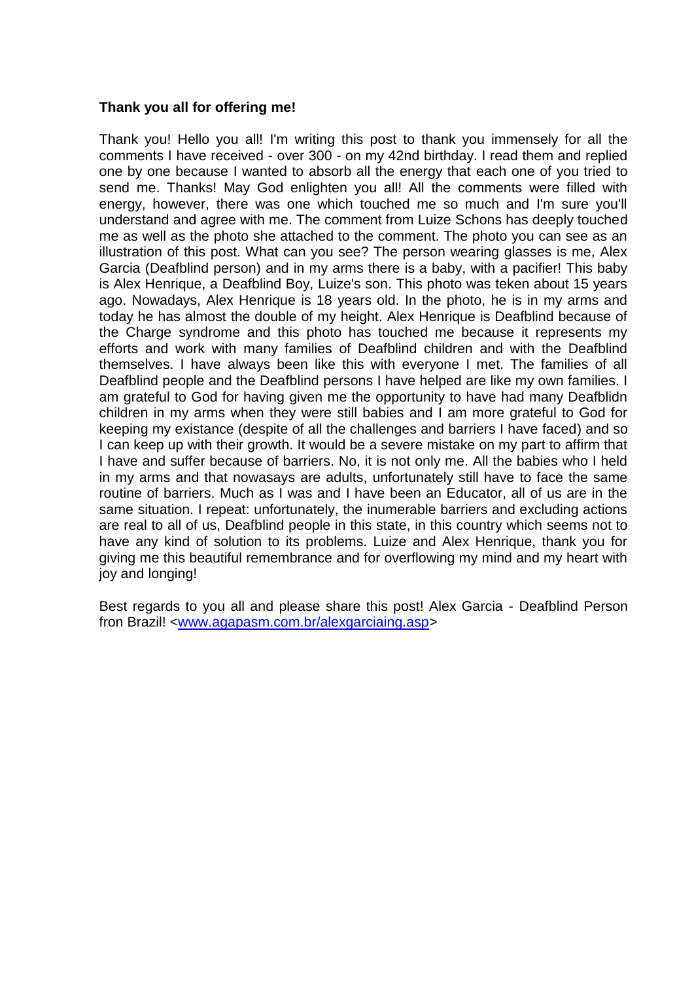## **Thank you all for offering me!**

Thank you! Hello you all! I'm writing this post to thank you immensely for all the comments I have received - over 300 - on my 42nd birthday. I read them and replied one by one because I wanted to absorb all the energy that each one of you tried to send me. Thanks! May God enlighten you all! All the comments were filled with energy, however, there was one which touched me so much and I'm sure you'll understand and agree with me. The comment from Luize Schons has deeply touched me as well as the photo she attached to the comment. The photo you can see as an illustration of this post. What can you see? The person wearing glasses is me, Alex Garcia (Deafblind person) and in my arms there is a baby, with a pacifier! This baby is Alex Henrique, a Deafblind Boy, Luize's son. This photo was teken about 15 years ago. Nowadays, Alex Henrique is 18 years old. In the photo, he is in my arms and today he has almost the double of my height. Alex Henrique is Deafblind because of the Charge syndrome and this photo has touched me because it represents my efforts and work with many families of Deafblind children and with the Deafblind themselves. I have always been like this with everyone I met. The families of all Deafblind people and the Deafblind persons I have helped are like my own families. I am grateful to God for having given me the opportunity to have had many Deafblidn children in my arms when they were still babies and I am more grateful to God for keeping my existance (despite of all the challenges and barriers I have faced) and so I can keep up with their growth. It would be a severe mistake on my part to affirm that I have and suffer because of barriers. No, it is not only me. All the babies who I held in my arms and that nowasays are adults, unfortunately still have to face the same routine of barriers. Much as I was and I have been an Educator, all of us are in the same situation. I repeat: unfortunately, the inumerable barriers and excluding actions are real to all of us, Deafblind people in this state, in this country which seems not to have any kind of solution to its problems. Luize and Alex Henrique, thank you for giving me this beautiful remembrance and for overflowing my mind and my heart with joy and longing!

Best regards to you all and please share this post! Alex Garcia - Deafblind Person fron Brazil! [<www.agapasm.com.br/alexgarciaing.asp>](http://www.agapasm.com.br/alexgarciaing.asp)